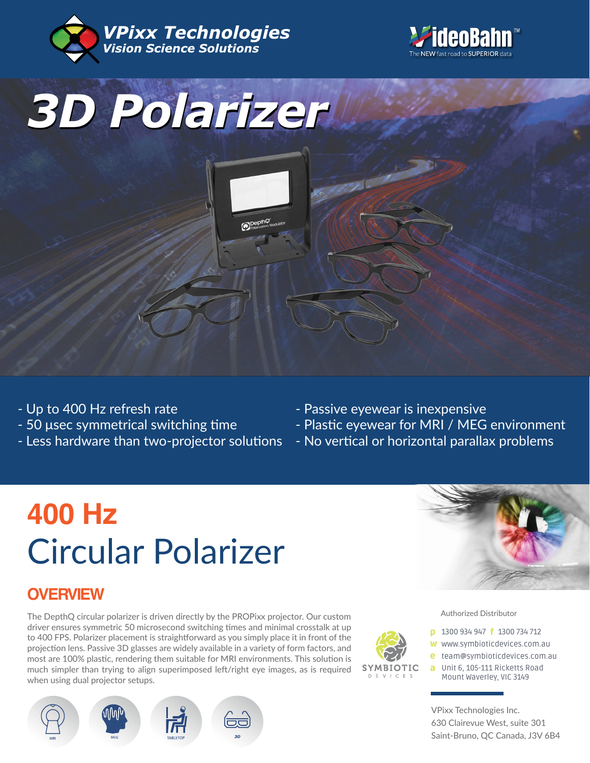





- Up to 400 Hz refresh rate
- 50 μsec symmetrical switching time
- Less hardware than two-projector solutions
- Passive eyewear is inexpensive

**SYMBIOTIC** D F V I C F S

- Plastic eyewear for MRI / MEG environment
- No vertical or horizontal parallax problems

# **400 Hz** Circular Polarizer

## **OVERVIEW**

The DepthQ circular polarizer is driven directly by the PROPixx projector. Our custom driver ensures symmetric 50 microsecond switching times and minimal crosstalk at up to 400 FPS. Polarizer placement is straightforward as you simply place it in front of the projection lens. Passive 3D glasses are widely available in a variety of form factors, and most are 100% plastic, rendering them suitable for MRI environments. This solution is much simpler than trying to align superimposed left/right eye images, as is required when using dual projector setups.





Authorized Distributor

- **p** 1300 934 947 **f** 1300 734 712
- w www.symbioticdevices.com.au
- [team@symbioticdevices.com.au](https://symbioticdevices.com.au/) e
- Unit 6, 105-111 Ricketts Road a Mount Waverley, VIC 3149

VPixx Technologies Inc. 630 Clairevue West, suite 301 Saint-Bruno, QC Canada, J3V 6B4